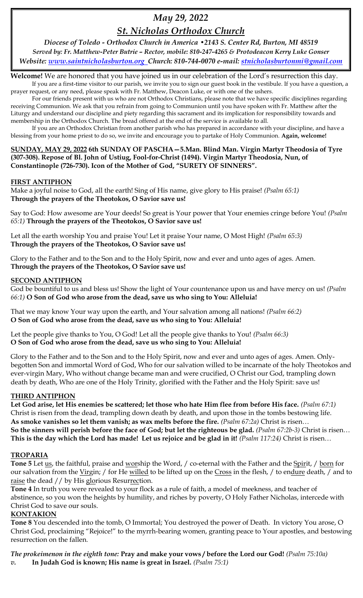# *May 29, 2022*

# *St. Nicholas Orthodox Church*

*Diocese of Toledo - Orthodox Church in America •2143 S. Center Rd, Burton, MI 48519 Served by: Fr. Matthew-Peter Butrie – Rector, mobile: 810-247-4265 & Protodeacon Kerry Luke Gonser Website: [www.saintnicholasburton.org](http://www.saintnicholasburton.org/) Church: 810-744-0070 e-mail: [stnicholasburtonmi@gmail.com](mailto:stnicholasburtonmi@gmail.com)*

**Welcome!** We are honored that you have joined us in our celebration of the Lord's resurrection this day. If you are a first-time visitor to our parish, we invite you to sign our guest book in the vestibule. If you have a question, a prayer request, or any need, please speak with Fr. Matthew, Deacon Luke, or with one of the ushers.

For our friends present with us who are not Orthodox Christians, please note that we have specific disciplines regarding receiving Communion. We ask that you refrain from going to Communion until you have spoken with Fr. Matthew after the Liturgy and understand our discipline and piety regarding this sacrament and its implication for responsibility towards and membership in the Orthodox Church. The bread offered at the end of the service is available to all.

If you are an Orthodox Christian from another parish who has prepared in accordance with your discipline, and have a blessing from your home priest to do so, we invite and encourage you to partake of Holy Communion. **Again, welcome!** 

### **SUNDAY, MAY 29, 2022 6th SUNDAY OF PASCHA—5.Man. Blind Man. Virgin Martyr Theodosia of Tyre (307-308). Repose of Bl. John of Ustiug, Fool-for-Christ (1494). Virgin Martyr Theodosia, Nun, of Constantinople (726-730). Icon of the Mother of God, "SURETY OF SINNERS".**

### **FIRST ANTIPHON**

Make a joyful noise to God, all the earth! Sing of His name, give glory to His praise! *(Psalm 65:1)* **Through the prayers of the Theotokos, O Savior save us!**

Say to God: How awesome are Your deeds! So great is Your power that Your enemies cringe before You! *(Psalm 65:1)* **Through the prayers of the Theotokos, O Savior save us!**

Let all the earth worship You and praise You! Let it praise Your name, O Most High! *(Psalm 65:3)* **Through the prayers of the Theotokos, O Savior save us!**

Glory to the Father and to the Son and to the Holy Spirit, now and ever and unto ages of ages. Amen. **Through the prayers of the Theotokos, O Savior save us!**

### **SECOND ANTIPHON**

God be bountiful to us and bless us! Show the light of Your countenance upon us and have mercy on us! *(Psalm 66:1)* **O Son of God who arose from the dead, save us who sing to You: Alleluia!**

That we may know Your way upon the earth, and Your salvation among all nations! *(Psalm 66:2)* **O Son of God who arose from the dead, save us who sing to You: Alleluia!**

Let the people give thanks to You, O God! Let all the people give thanks to You! *(Psalm 66:3)* **O Son of God who arose from the dead, save us who sing to You: Alleluia!**

Glory to the Father and to the Son and to the Holy Spirit, now and ever and unto ages of ages. Amen. Onlybegotten Son and immortal Word of God, Who for our salvation willed to be incarnate of the holy Theotokos and ever-virgin Mary, Who without change became man and were crucified, O Christ our God, trampling down death by death, Who are one of the Holy Trinity, glorified with the Father and the Holy Spirit: save us!

### **THIRD ANTIPHON**

**Let God arise, let His enemies be scattered; let those who hate Him flee from before His face.** *(Psalm 67:1)* Christ is risen from the dead, trampling down death by death, and upon those in the tombs bestowing life. **As smoke vanishes so let them vanish; as wax melts before the fire.** *(Psalm 67:2a)* Christ is risen… **So the sinners will perish before the face of God; but let the righteous be glad.** *(Psalm 67:2b-3)* Christ is risen… **This is the day which the Lord has made! Let us rejoice and be glad in it!** *(Psalm 117:24)* Christ is risen…

### **TROPARIA**

**Tone 5** Let us, the faithful, praise and worship the Word, / co-eternal with the Father and the Spirit, / born for our salvation from the Virgin; / for He willed to be lifted up on the Cross in the flesh, / to endure death, / and to raise the dead // by His glorious Resurrection.

**Tone 4** In truth you were revealed to your flock as a rule of faith, a model of meekness, and teacher of abstinence, so you won the heights by humility, and riches by poverty, O Holy Father Nicholas, intercede with Christ God to save our souls.

### **KONTAKION**

**Tone 8** You descended into the tomb, O Immortal; You destroyed the power of Death. In victory You arose, O Christ God, proclaiming "Rejoice!" to the myrrh-bearing women, granting peace to Your apostles, and bestowing resurrection on the fallen.

*The prokeimenon in the eighth tone:* **Pray and make your vows / before the Lord our God!** *(Psalm 75:10a)*

*v.* **In Judah God is known; His name is great in Israel.** *(Psalm 75:1)*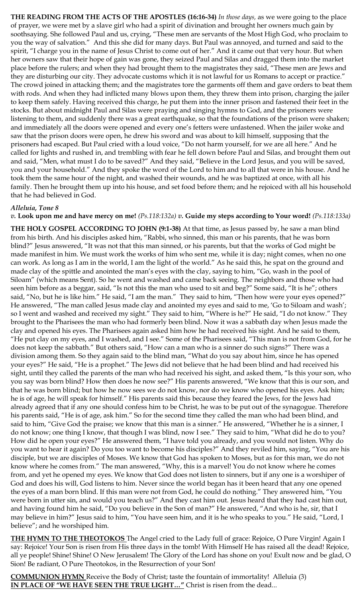**THE READING FROM THE ACTS OF THE APOSTLES (16:16-34)** *In those days,* as we were going to the place of prayer, we were met by a slave girl who had a spirit of divination and brought her owners much gain by soothsaying. She followed Paul and us, crying, "These men are servants of the Most High God, who proclaim to you the way of salvation." And this she did for many days. But Paul was annoyed, and turned and said to the spirit, "I charge you in the name of Jesus Christ to come out of her." And it came out that very hour. But when her owners saw that their hope of gain was gone, they seized Paul and Silas and dragged them into the market place before the rulers; and when they had brought them to the magistrates they said, "These men are Jews and they are disturbing our city. They advocate customs which it is not lawful for us Romans to accept or practice." The crowd joined in attacking them; and the magistrates tore the garments off them and gave orders to beat them with rods. And when they had inflicted many blows upon them, they threw them into prison, charging the jailer to keep them safely. Having received this charge, he put them into the inner prison and fastened their feet in the stocks. But about midnight Paul and Silas were praying and singing hymns to God, and the prisoners were listening to them, and suddenly there was a great earthquake, so that the foundations of the prison were shaken; and immediately all the doors were opened and every one's fetters were unfastened. When the jailer woke and saw that the prison doors were open, he drew his sword and was about to kill himself, supposing that the prisoners had escaped. But Paul cried with a loud voice, "Do not harm yourself, for we are all here." And he called for lights and rushed in, and trembling with fear he fell down before Paul and Silas, and brought them out and said, "Men, what must I do to be saved?" And they said, "Believe in the Lord Jesus, and you will be saved, you and your household." And they spoke the word of the Lord to him and to all that were in his house. And he took them the same hour of the night, and washed their wounds, and he was baptized at once, with all his family. Then he brought them up into his house, and set food before them; and he rejoiced with all his household that he had believed in God.

### *Alleluia, Tone 8*

#### *v.* **Look upon me and have mercy on me!** *(Ps.118:132a) v.* **Guide my steps according to Your word!** *(Ps.118:133a)*

**THE HOLY GOSPEL ACCORDING TO JOHN (9:1-38)** At that time, as Jesus passed by, he saw a man blind from his birth. And his disciples asked him, "Rabbi, who sinned, this man or his parents, that he was born blind?" Jesus answered, "It was not that this man sinned, or his parents, but that the works of God might be made manifest in him. We must work the works of him who sent me, while it is day; night comes, when no one can work. As long as I am in the world, I am the light of the world." As he said this, he spat on the ground and made clay of the spittle and anointed the man's eyes with the clay, saying to him, "Go, wash in the pool of Siloam" (which means Sent). So he went and washed and came back seeing. The neighbors and those who had seen him before as a beggar, said, "Is not this the man who used to sit and beg?" Some said, "It is he"; others said, "No, but he is like him." He said, "I am the man." They said to him, "Then how were your eyes opened?" He answered, "The man called Jesus made clay and anointed my eyes and said to me, 'Go to Siloam and wash'; so I went and washed and received my sight." They said to him, "Where is he?" He said, "I do not know." They brought to the Pharisees the man who had formerly been blind. Now it was a sabbath day when Jesus made the clay and opened his eyes. The Pharisees again asked him how he had received his sight. And he said to them, "He put clay on my eyes, and I washed, and I see." Some of the Pharisees said, "This man is not from God, for he does not keep the sabbath." But others said, "How can a man who is a sinner do such signs?" There was a division among them. So they again said to the blind man, "What do you say about him, since he has opened your eyes?" He said, "He is a prophet." The Jews did not believe that he had been blind and had received his sight, until they called the parents of the man who had received his sight, and asked them, "Is this your son, who you say was born blind? How then does he now see?" His parents answered, "We know that this is our son, and that he was born blind; but how he now sees we do not know, nor do we know who opened his eyes. Ask him; he is of age, he will speak for himself." His parents said this because they feared the Jews, for the Jews had already agreed that if any one should confess him to be Christ, he was to be put out of the synagogue. Therefore his parents said, "He is of age, ask him." So for the second time they called the man who had been blind, and said to him, "Give God the praise; we know that this man is a sinner." He answered, "Whether he is a sinner, I do not know; one thing I know, that though I was blind, now I see." They said to him, "What did he do to you? How did he open your eyes?" He answered them, "I have told you already, and you would not listen. Why do you want to hear it again? Do you too want to become his disciples?" And they reviled him, saying, "You are his disciple, but we are disciples of Moses. We know that God has spoken to Moses, but as for this man, we do not know where he comes from." The man answered, "Why, this is a marvel! You do not know where he comes from, and yet he opened my eyes. We know that God does not listen to sinners, but if any one is a worshiper of God and does his will, God listens to him. Never since the world began has it been heard that any one opened the eyes of a man born blind. If this man were not from God, he could do nothing." They answered him, "You were born in utter sin, and would you teach us?" And they cast him out. Jesus heard that they had cast him out, and having found him he said, "Do you believe in the Son of man?" He answered, "And who is he, sir, that I may believe in him?" Jesus said to him, "You have seen him, and it is he who speaks to you." He said, "Lord, I believe"; and he worshiped him.

**THE HYMN TO THE THEOTOKOS** The Angel cried to the Lady full of grace: Rejoice, O Pure Virgin! Again I say: Rejoice! Your Son is risen from His three days in the tomb! With Himself He has raised all the dead! Rejoice, all ye people! Shine! Shine! O New Jerusalem! The Glory of the Lord has shone on you! Exult now and be glad, O Sion! Be radiant, O Pure Theotokos, in the Resurrection of your Son!

**COMMUNION HYMN** Receive the Body of Christ; taste the fountain of immortality! Alleluia (3) **IN PLACE OF "WE HAVE SEEN THE TRUE LIGHT…"** Christ is risen from the dead...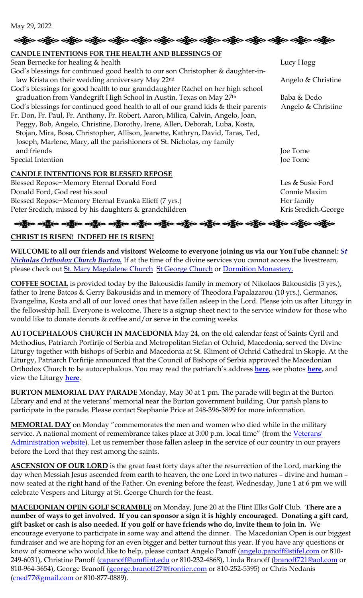```
May 29, 2022
```
# န္တို့ေ ခရွိေ ခရွိေ ခရွိေ ခရွိေ ရရွိေ ခရွိေ ခရွိေ ခရွိေ ရရွိေတာ့ ရွိေ **CANDLE INTENTIONS FOR THE HEALTH AND BLESSINGS OF**  Sean Bernecke for healing & health Lucy Hogg God's blessings for continued good health to our son Christopher & daughter-inlaw Krista on their wedding anniversary May 22<sup>nd</sup> Angelo & Christine God's blessings for good health to our granddaughter Rachel on her high school graduation from Vandegrift High School in Austin, Texas on May 27<sup>th</sup> Baba & Dedo God's blessings for continued good health to all of our grand kids & their parents Angelo & Christine Fr. Don, Fr. Paul, Fr. Anthony, Fr. Robert, Aaron, Milica, Calvin, Angelo, Joan, Peggy, Bob, Angelo, Christine, Dorothy, Irene, Allen, Deborah, Luba, Kosta, Stojan, Mira, Bosa, Christopher, Allison, Jeanette, Kathryn, David, Taras, Ted, Joseph, Marlene, Mary, all the parishioners of St. Nicholas, my family and friends Joe Tome Special Intention Joe Tome **CANDLE INTENTIONS FOR BLESSED REPOSE** Blessed Repose~Memory Eternal Donald Ford Les & Susie Ford Les & Susie Ford

Donald Ford, God rest his soul Connie Maxim Blessed Repose~Memory Eternal Evanka Elieff (7 yrs.) Her family Peter Sredich, missed by his daughters & grandchildren Kris Sredich-George Kris Sredich-George

# ခရွို့လ ခရွို့လ ခရွိမ်း တွေ့ရှိ ပညာရှိသည့် တွေ့ရှိသည့် တွေ့ရှိသည့် သည်။ သည်။ သည်။ သည်။ သည်မ

# **CHRIST IS RISEN! INDEED HE IS RISEN!**

**WELCOME to all our friends and visitors! Welcome to everyone joining us via our YouTube channel:** *[St](https://www.youtube.com/channel/UC59tV-Re443z-GCoETAUvfA)  [Nicholas Orthodox Church Burton.](https://www.youtube.com/channel/UC59tV-Re443z-GCoETAUvfA)* If at the time of the divine services you cannot access the livestream, please check out [St. Mary Magdalene Church](https://www.youtube.com/channel/UClHAqZrWkXdYELujbbIslHg) [St George Church](https://www.youtube.com/channel/UCpLWfxMIJK4uQOV41ekE6Wg/videos?view=2&flow=grid) or [Dormition Monastery.](https://www.youtube.com/channel/UC3z4Gp5OYPGhWYOxm-GlVnA)

**COFFEE SOCIAL** is provided today by the Bakousidis family in memory of Nikolaos Bakousidis (3 yrs.), father to Irene Batcos & Gerry Bakousidis and in memory of Theodora Papalazarou (10 yrs.), Germanos, Evangelina, Kosta and all of our loved ones that have fallen asleep in the Lord. Please join us after Liturgy in the fellowship hall. Everyone is welcome. There is a signup sheet next to the service window for those who would like to donate donuts & coffee and/or serve in the coming weeks.

**AUTOCEPHALOUS CHURCH IN MACEDONIA** May 24, on the old calendar feast of Saints Cyril and Methodius, Patriarch Porfirije of Serbia and Metropolitan Stefan of Ochrid, Macedonia, served the Divine Liturgy together with bishops of Serbia and Macedonia at St. Kliment of Ochrid Cathedral in Skopje. At the Liturgy, Patriarch Porfirije announced that the Council of Bishops of Serbia approved the Macedonian Orthodox Church to be autocephalous. You may read the patriarch's address **[here](https://www-spc-rs.translate.goog/sr/patrijarh_porfirije_gospod_je_alfa_omega_nasheg_postojanja_u_istoriji_u_vechnosti?_x_tr_sch=http&_x_tr_sl=sr&_x_tr_tl=en&_x_tr_hl=en&_x_tr_pto=wapp)**, see photos **[here](http://www.spc.rs/sr/fotogalerija_liturgija_u_sabornom_hramu_u_skoplju)**, and view the Liturgy **[here](https://www.youtube.com/watch?v=Zj5Wl3vZOVg)**.

**BURTON MEMORIAL DAY PARADE** Monday, May 30 at 1 pm. The parade will begin at the Burton Library and end at the veterans' memorial near the Burton government building. Our parish plans to participate in the parade. Please contact Stephanie Price at 248-396-3899 for more information.

**MEMORIAL DAY** on Monday "commemorates the men and women who died while in the military service. A national moment of remembrance takes place at 3:00 p.m. local time" (from the Veterans' [Administration website\)](https://www.va.gov/opa/speceven/memday/). Let us remember those fallen asleep in the service of our country in our prayers before the Lord that they rest among the saints.

**ASCENSION OF OUR LORD** is the great feast forty days after the resurrection of the Lord, marking the day when Messiah Jesus ascended from earth to heaven, the one Lord in two natures – divine and human – now seated at the right hand of the Father. On evening before the feast, Wednesday, June 1 at 6 pm we will celebrate Vespers and Liturgy at St. George Church for the feast.

**MACEDONIAN OPEN GOLF SCRAMBLE** on Monday, June 20 at the Flint Elks Golf Club. **There are a number of ways to get involved. If you can sponsor a sign it is highly encouraged. Donating a gift card, gift basket or cash is also needed. If you golf or have friends who do, invite them to join in.** We encourage everyone to participate in some way and attend the dinner. The Macedonian Open is our biggest fundraiser and we are hoping for an even bigger and better turnout this year. If you have any questions or know of someone who would like to help, please contact Angelo Panoff [\(angelo.panoff@stifel.com](mailto:angelo.panoff@stifel.com) or 810-249-6031), Christine Panoff [\(capanoff@umflint.edu](mailto:capanoff@umflint.edu) or 810-232-4868), Linda Branoff [\(branoff721@aol.com](mailto:branoff721@aol.com) or 810-964-3654), George Branoff [\(george.branoff27@frontier.com](mailto:george.branoff27@frontier.com) or 810-252-5395) or Chris Nedanis [\(cned77@gmail.com](mailto:cned77@gmail.com) or 810-877-0889).